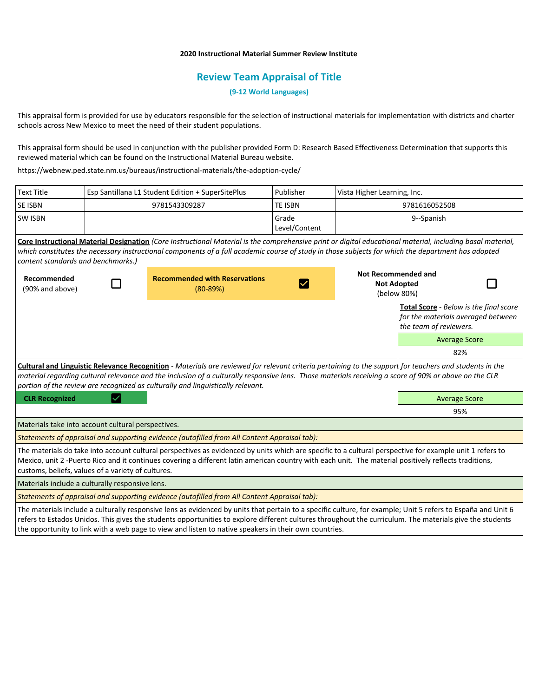## **2020 Instructional Material Summer Review Institute**

## **Review Team Appraisal of Title**

**(9-12 World Languages)**

This appraisal form is provided for use by educators responsible for the selection of instructional materials for implementation with districts and charter schools across New Mexico to meet the need of their student populations.

This appraisal form should be used in conjunction with the publisher provided Form D: Research Based Effectiveness Determination that supports this reviewed material which can be found on the Instructional Material Bureau website.

<https://webnew.ped.state.nm.us/bureaus/instructional-materials/the-adoption-cycle/>

| <b>Text Title</b>                                                                                                                                                                                                                                                                                                                                                                                   | Esp Santillana L1 Student Edition + SuperSitePlus  |                                                                                                                                                                                                                                                                                                                   | Publisher              | Vista Higher Learning, Inc.                              |                                                                                                        |  |
|-----------------------------------------------------------------------------------------------------------------------------------------------------------------------------------------------------------------------------------------------------------------------------------------------------------------------------------------------------------------------------------------------------|----------------------------------------------------|-------------------------------------------------------------------------------------------------------------------------------------------------------------------------------------------------------------------------------------------------------------------------------------------------------------------|------------------------|----------------------------------------------------------|--------------------------------------------------------------------------------------------------------|--|
| SE ISBN                                                                                                                                                                                                                                                                                                                                                                                             | 9781543309287                                      |                                                                                                                                                                                                                                                                                                                   | <b>TE ISBN</b>         | 9781616052508                                            |                                                                                                        |  |
| <b>SW ISBN</b>                                                                                                                                                                                                                                                                                                                                                                                      |                                                    |                                                                                                                                                                                                                                                                                                                   | Grade<br>Level/Content |                                                          | 9--Spanish                                                                                             |  |
| content standards and benchmarks.)                                                                                                                                                                                                                                                                                                                                                                  |                                                    | Core Instructional Material Designation (Core Instructional Material is the comprehensive print or digital educational material, including basal material,<br>which constitutes the necessary instructional components of a full academic course of study in those subjects for which the department has adopted  |                        |                                                          |                                                                                                        |  |
| Recommended<br>(90% and above)                                                                                                                                                                                                                                                                                                                                                                      |                                                    | <b>Recommended with Reservations</b><br>$(80-89%)$                                                                                                                                                                                                                                                                |                        | Not Recommended and<br><b>Not Adopted</b><br>(below 80%) |                                                                                                        |  |
|                                                                                                                                                                                                                                                                                                                                                                                                     |                                                    |                                                                                                                                                                                                                                                                                                                   |                        |                                                          | Total Score - Below is the final score<br>for the materials averaged between<br>the team of reviewers. |  |
|                                                                                                                                                                                                                                                                                                                                                                                                     |                                                    |                                                                                                                                                                                                                                                                                                                   |                        |                                                          | <b>Average Score</b>                                                                                   |  |
|                                                                                                                                                                                                                                                                                                                                                                                                     |                                                    |                                                                                                                                                                                                                                                                                                                   |                        |                                                          | 82%                                                                                                    |  |
| Cultural and Linguistic Relevance Recognition - Materials are reviewed for relevant criteria pertaining to the support for teachers and students in the<br>material regarding cultural relevance and the inclusion of a culturally responsive lens. Those materials receiving a score of 90% or above on the CLR<br>portion of the review are recognized as culturally and linguistically relevant. |                                                    |                                                                                                                                                                                                                                                                                                                   |                        |                                                          |                                                                                                        |  |
| <b>CLR Recognized</b>                                                                                                                                                                                                                                                                                                                                                                               |                                                    |                                                                                                                                                                                                                                                                                                                   |                        |                                                          | <b>Average Score</b>                                                                                   |  |
|                                                                                                                                                                                                                                                                                                                                                                                                     |                                                    |                                                                                                                                                                                                                                                                                                                   |                        |                                                          | 95%                                                                                                    |  |
| Materials take into account cultural perspectives.                                                                                                                                                                                                                                                                                                                                                  |                                                    |                                                                                                                                                                                                                                                                                                                   |                        |                                                          |                                                                                                        |  |
|                                                                                                                                                                                                                                                                                                                                                                                                     |                                                    | Statements of appraisal and supporting evidence (autofilled from All Content Appraisal tab):                                                                                                                                                                                                                      |                        |                                                          |                                                                                                        |  |
|                                                                                                                                                                                                                                                                                                                                                                                                     | customs, beliefs, values of a variety of cultures. | The materials do take into account cultural perspectives as evidenced by units which are specific to a cultural perspective for example unit 1 refers to<br>Mexico, unit 2 -Puerto Rico and it continues covering a different latin american country with each unit. The material positively reflects traditions, |                        |                                                          |                                                                                                        |  |
| Materials include a culturally responsive lens.                                                                                                                                                                                                                                                                                                                                                     |                                                    |                                                                                                                                                                                                                                                                                                                   |                        |                                                          |                                                                                                        |  |
|                                                                                                                                                                                                                                                                                                                                                                                                     |                                                    | Statements of appraisal and supporting evidence (autofilled from All Content Appraisal tab):                                                                                                                                                                                                                      |                        |                                                          |                                                                                                        |  |
|                                                                                                                                                                                                                                                                                                                                                                                                     |                                                    | The materials include a culturally responsive lens as evidenced by units that pertain to a specific culture, for example; Unit 5 refers to España and Unit 6                                                                                                                                                      |                        |                                                          |                                                                                                        |  |

refers to Estados Unidos. This gives the students opportunities to explore different cultures throughout the curriculum. The materials give the students the opportunity to link with a web page to view and listen to native speakers in their own countries.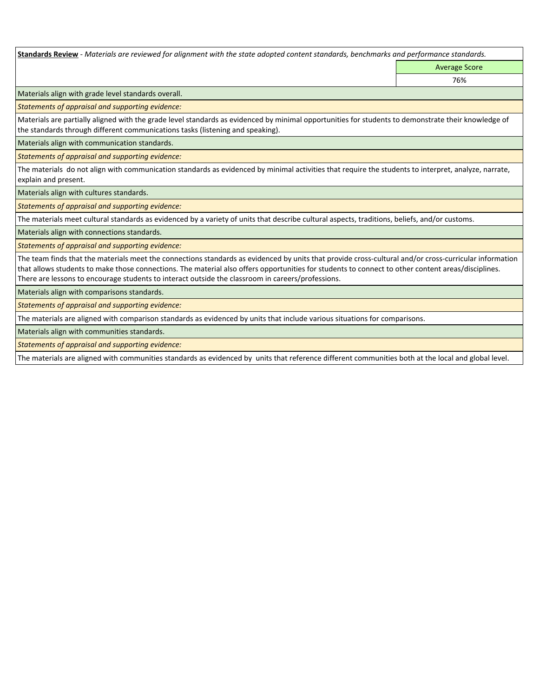**Standards Review** *- Materials are reviewed for alignment with the state adopted content standards, benchmarks and performance standards.*

Average Score 76%

Materials align with grade level standards overall.

*Statements of appraisal and supporting evidence:* 

Materials are partially aligned with the grade level standards as evidenced by minimal opportunities for students to demonstrate their knowledge of the standards through different communications tasks (listening and speaking).

Materials align with communication standards.

*Statements of appraisal and supporting evidence:* 

The materials do not align with communication standards as evidenced by minimal activities that require the students to interpret, analyze, narrate, explain and present.

Materials align with cultures standards.

*Statements of appraisal and supporting evidence:* 

The materials meet cultural standards as evidenced by a variety of units that describe cultural aspects, traditions, beliefs, and/or customs.

Materials align with connections standards.

*Statements of appraisal and supporting evidence:* 

The team finds that the materials meet the connections standards as evidenced by units that provide cross-cultural and/or cross-curricular information that allows students to make those connections. The material also offers opportunities for students to connect to other content areas/disciplines. There are lessons to encourage students to interact outside the classroom in careers/professions.

Materials align with comparisons standards.

*Statements of appraisal and supporting evidence:* 

The materials are aligned with comparison standards as evidenced by units that include various situations for comparisons.

Materials align with communities standards.

*Statements of appraisal and supporting evidence:* 

The materials are aligned with communities standards as evidenced by units that reference different communities both at the local and global level.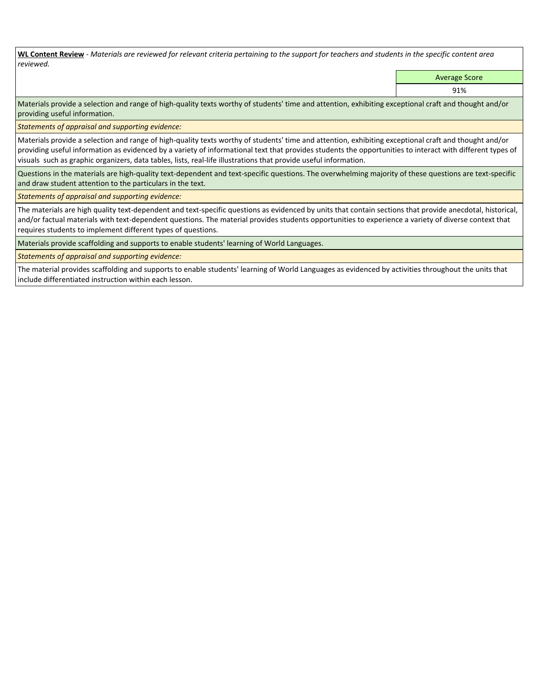**WL Content Review** *- Materials are reviewed for relevant criteria pertaining to the support for teachers and students in the specific content area reviewed.*

Average Score

91%

Materials provide a selection and range of high-quality texts worthy of students' time and attention, exhibiting exceptional craft and thought and/or providing useful information.

*Statements of appraisal and supporting evidence:* 

Materials provide a selection and range of high-quality texts worthy of students' time and attention, exhibiting exceptional craft and thought and/or providing useful information as evidenced by a variety of informational text that provides students the opportunities to interact with different types of visuals such as graphic organizers, data tables, lists, real-life illustrations that provide useful information.

Questions in the materials are high-quality text-dependent and text-specific questions. The overwhelming majority of these questions are text-specific and draw student attention to the particulars in the text.

*Statements of appraisal and supporting evidence:* 

The materials are high quality text-dependent and text-specific questions as evidenced by units that contain sections that provide anecdotal, historical, and/or factual materials with text-dependent questions. The material provides students opportunities to experience a variety of diverse context that requires students to implement different types of questions.

Materials provide scaffolding and supports to enable students' learning of World Languages.

*Statements of appraisal and supporting evidence:* 

The material provides scaffolding and supports to enable students' learning of World Languages as evidenced by activities throughout the units that include differentiated instruction within each lesson.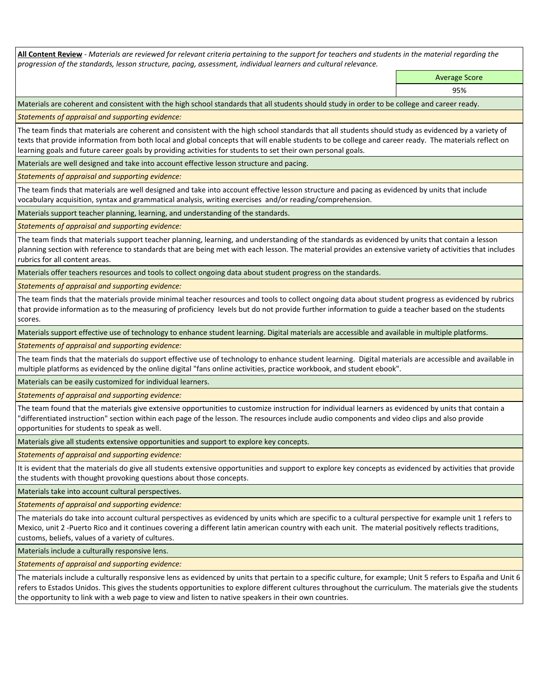**All Content Review** *- Materials are reviewed for relevant criteria pertaining to the support for teachers and students in the material regarding the progression of the standards, lesson structure, pacing, assessment, individual learners and cultural relevance.*

> Average Score 95%

Materials are coherent and consistent with the high school standards that all students should study in order to be college and career ready.

*Statements of appraisal and supporting evidence:*

The team finds that materials are coherent and consistent with the high school standards that all students should study as evidenced by a variety of texts that provide information from both local and global concepts that will enable students to be college and career ready. The materials reflect on learning goals and future career goals by providing activities for students to set their own personal goals.

Materials are well designed and take into account effective lesson structure and pacing.

*Statements of appraisal and supporting evidence:*

The team finds that materials are well designed and take into account effective lesson structure and pacing as evidenced by units that include vocabulary acquisition, syntax and grammatical analysis, writing exercises and/or reading/comprehension.

Materials support teacher planning, learning, and understanding of the standards.

*Statements of appraisal and supporting evidence:*

The team finds that materials support teacher planning, learning, and understanding of the standards as evidenced by units that contain a lesson planning section with reference to standards that are being met with each lesson. The material provides an extensive variety of activities that includes rubrics for all content areas.

Materials offer teachers resources and tools to collect ongoing data about student progress on the standards.

*Statements of appraisal and supporting evidence:*

The team finds that the materials provide minimal teacher resources and tools to collect ongoing data about student progress as evidenced by rubrics that provide information as to the measuring of proficiency levels but do not provide further information to guide a teacher based on the students scores.

Materials support effective use of technology to enhance student learning. Digital materials are accessible and available in multiple platforms.

*Statements of appraisal and supporting evidence:*

The team finds that the materials do support effective use of technology to enhance student learning. Digital materials are accessible and available in multiple platforms as evidenced by the online digital "fans online activities, practice workbook, and student ebook".

Materials can be easily customized for individual learners.

*Statements of appraisal and supporting evidence:* 

The team found that the materials give extensive opportunities to customize instruction for individual learners as evidenced by units that contain a "differentiated instruction" section within each page of the lesson. The resources include audio components and video clips and also provide opportunities for students to speak as well.

Materials give all students extensive opportunities and support to explore key concepts.

*Statements of appraisal and supporting evidence:*

It is evident that the materials do give all students extensive opportunities and support to explore key concepts as evidenced by activities that provide the students with thought provoking questions about those concepts.

Materials take into account cultural perspectives.

*Statements of appraisal and supporting evidence:*

The materials do take into account cultural perspectives as evidenced by units which are specific to a cultural perspective for example unit 1 refers to Mexico, unit 2 -Puerto Rico and it continues covering a different latin american country with each unit. The material positively reflects traditions, customs, beliefs, values of a variety of cultures.

Materials include a culturally responsive lens.

*Statements of appraisal and supporting evidence:*

The materials include a culturally responsive lens as evidenced by units that pertain to a specific culture, for example; Unit 5 refers to España and Unit 6 refers to Estados Unidos. This gives the students opportunities to explore different cultures throughout the curriculum. The materials give the students the opportunity to link with a web page to view and listen to native speakers in their own countries.